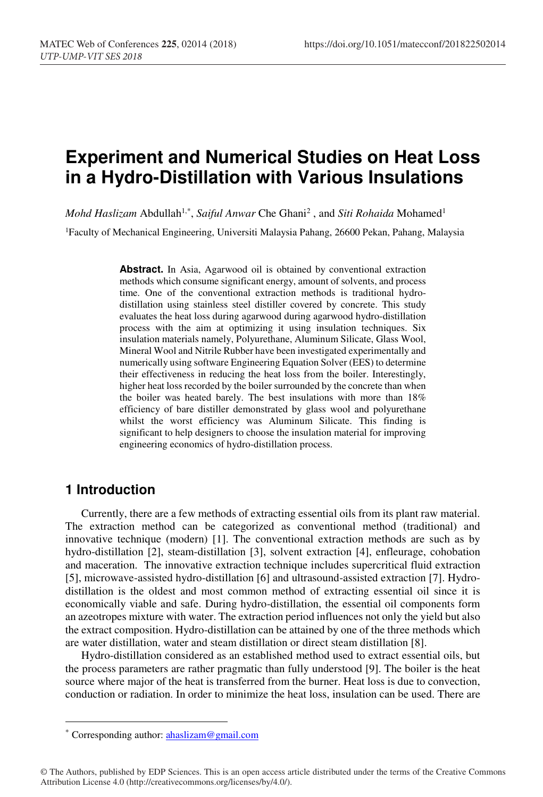# **Experiment and Numerical Studies on Heat Loss in a Hydro-Distillation with Various Insulations**

*Mohd Haslizam Abdullah*<sup>1,\*</sup>, *Saiful Anwar* Che Ghani<sup>2</sup>, and *Siti Rohaida* Mohamed<sup>1</sup> 1Faculty of Mechanical Engineering, Universiti Malaysia Pahang, 26600 Pekan, Pahang, Malaysia

> **Abstract.** In Asia, Agarwood oil is obtained by conventional extraction methods which consume significant energy, amount of solvents, and process time. One of the conventional extraction methods is traditional hydrodistillation using stainless steel distiller covered by concrete. This study evaluates the heat loss during agarwood during agarwood hydro-distillation process with the aim at optimizing it using insulation techniques. Six insulation materials namely, Polyurethane, Aluminum Silicate, Glass Wool, Mineral Wool and Nitrile Rubber have been investigated experimentally and numerically using software Engineering Equation Solver (EES) to determine their effectiveness in reducing the heat loss from the boiler. Interestingly, higher heat loss recorded by the boiler surrounded by the concrete than when the boiler was heated barely. The best insulations with more than 18% efficiency of bare distiller demonstrated by glass wool and polyurethane whilst the worst efficiency was Aluminum Silicate. This finding is significant to help designers to choose the insulation material for improving engineering economics of hydro-distillation process.

### **1 Introduction**

-

Currently, there are a few methods of extracting essential oils from its plant raw material. The extraction method can be categorized as conventional method (traditional) and innovative technique (modern) [1]. The conventional extraction methods are such as by hydro-distillation [2], steam-distillation [3], solvent extraction [4], enfleurage, cohobation and maceration. The innovative extraction technique includes supercritical fluid extraction [5], microwave-assisted hydro-distillation [6] and ultrasound-assisted extraction [7]. Hydrodistillation is the oldest and most common method of extracting essential oil since it is economically viable and safe. During hydro-distillation, the essential oil components form an azeotropes mixture with water. The extraction period influences not only the yield but also the extract composition. Hydro-distillation can be attained by one of the three methods which are water distillation, water and steam distillation or direct steam distillation [8].

Hydro-distillation considered as an established method used to extract essential oils, but the process parameters are rather pragmatic than fully understood [9]. The boiler is the heat source where major of the heat is transferred from the burner. Heat loss is due to convection, conduction or radiation. In order to minimize the heat loss, insulation can be used. There are

<sup>\*</sup> Corresponding author: **ahaslizam@gmail.com** 

<sup>©</sup> The Authors, published by EDP Sciences. This is an open access article distributed under the terms of the Creative Commons Attribution License 4.0 (http://creativecommons.org/licenses/by/4.0/).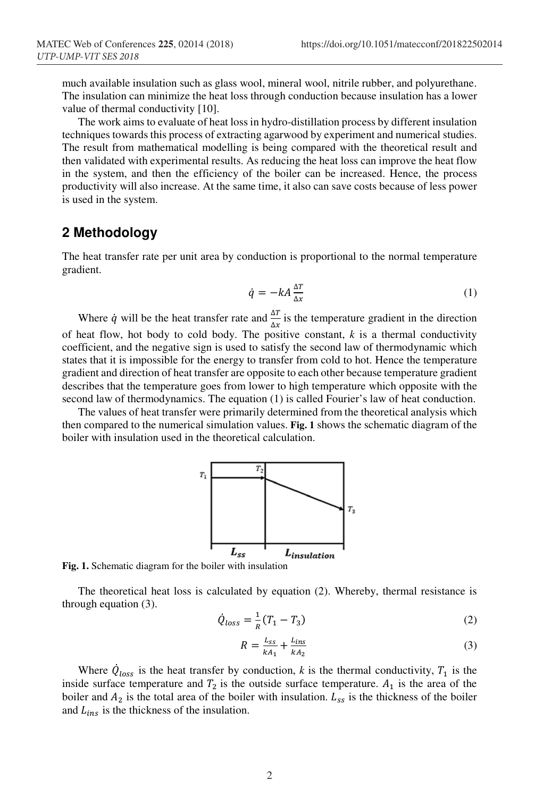much available insulation such as glass wool, mineral wool, nitrile rubber, and polyurethane. The insulation can minimize the heat loss through conduction because insulation has a lower value of thermal conductivity [10].

The work aims to evaluate of heat loss in hydro-distillation process by different insulation techniques towards this process of extracting agarwood by experiment and numerical studies. The result from mathematical modelling is being compared with the theoretical result and then validated with experimental results. As reducing the heat loss can improve the heat flow in the system, and then the efficiency of the boiler can be increased. Hence, the process productivity will also increase. At the same time, it also can save costs because of less power is used in the system.

## **2 Methodology**

The heat transfer rate per unit area by conduction is proportional to the normal temperature gradient.

$$
\dot{q} = -kA \frac{\Delta T}{\Delta x} \tag{1}
$$

Where *q* will be the heat transfer rate and  $\frac{\Delta T}{\Delta x}$  is the temperature gradient in the direction of heat flow, hot body to cold body. The positive constant, *k* is a thermal conductivity coefficient, and the negative sign is used to satisfy the second law of thermodynamic which states that it is impossible for the energy to transfer from cold to hot. Hence the temperature gradient and direction of heat transfer are opposite to each other because temperature gradient describes that the temperature goes from lower to high temperature which opposite with the second law of thermodynamics. The equation (1) is called Fourier's law of heat conduction.

The values of heat transfer were primarily determined from the theoretical analysis which then compared to the numerical simulation values. **Fig. 1** shows the schematic diagram of the boiler with insulation used in the theoretical calculation.



**Fig. 1.** Schematic diagram for the boiler with insulation

The theoretical heat loss is calculated by equation (2). Whereby, thermal resistance is through equation (3).

$$
\dot{Q}_{loss} = \frac{1}{R}(T_1 - T_3)
$$
 (2)

$$
R = \frac{L_{ss}}{kA_1} + \frac{L_{ins}}{kA_2} \tag{3}
$$

Where  $\dot{Q}_{loss}$  is the heat transfer by conduction, *k* is the thermal conductivity,  $T_1$  is the inside surface temperature and  $T_2$  is the outside surface temperature.  $A_1$  is the area of the boiler and  $A_2$  is the total area of the boiler with insulation.  $L_{ss}$  is the thickness of the boiler and  $L_{ins}$  is the thickness of the insulation.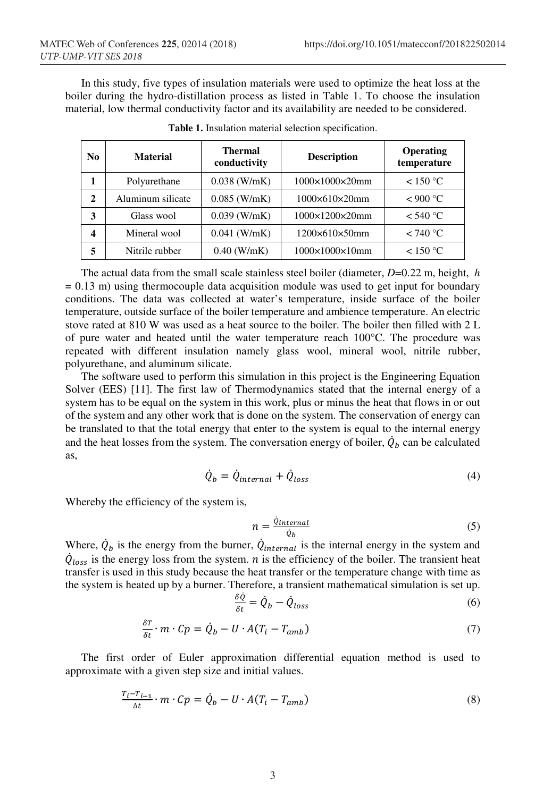In this study, five types of insulation materials were used to optimize the heat loss at the boiler during the hydro-distillation process as listed in Table 1. To choose the insulation material, low thermal conductivity factor and its availability are needed to be considered.

| No           | <b>Material</b>   | <b>Thermal</b><br>conductivity | <b>Description</b>          | Operating<br>temperature |
|--------------|-------------------|--------------------------------|-----------------------------|--------------------------|
| 1            | Polyurethane      | $0.038$ (W/mK)                 | 1000×1000×20mm              | < 150 °C                 |
| $\mathbf{2}$ | Aluminum silicate | $0.085$ (W/mK)                 | $1000\times610\times20$ mm  | < 900 °C                 |
| 3            | Glass wool        | $0.039$ (W/mK)                 | $1000\times1200\times20$ mm | $<$ 540 °C               |
| 4            | Mineral wool      | $0.041$ (W/mK)                 | $1200\times610\times50$ mm  | < 740 °C                 |
| 5            | Nitrile rubber    | $0.40$ (W/mK)                  | $1000\times1000\times10$ mm | < 150 °C                 |

**Table 1.** Insulation material selection specification.

The actual data from the small scale stainless steel boiler (diameter, *D*=0.22 m, height, *h*  $= 0.13$  m) using thermocouple data acquisition module was used to get input for boundary conditions. The data was collected at water's temperature, inside surface of the boiler temperature, outside surface of the boiler temperature and ambience temperature. An electric stove rated at 810 W was used as a heat source to the boiler. The boiler then filled with 2 L of pure water and heated until the water temperature reach 100°C. The procedure was repeated with different insulation namely glass wool, mineral wool, nitrile rubber, polyurethane, and aluminum silicate.

The software used to perform this simulation in this project is the Engineering Equation Solver (EES) [11]. The first law of Thermodynamics stated that the internal energy of a system has to be equal on the system in this work, plus or minus the heat that flows in or out of the system and any other work that is done on the system. The conservation of energy can be translated to that the total energy that enter to the system is equal to the internal energy and the heat losses from the system. The conversation energy of boiler,  $Q_b$  can be calculated as,

$$
\dot{Q}_b = \dot{Q}_{internal} + \dot{Q}_{loss} \tag{4}
$$

Whereby the efficiency of the system is,

$$
n = \frac{\dot{Q}_{internal}}{\dot{Q}_b} \tag{5}
$$

Where,  $\dot{Q}_b$  is the energy from the burner,  $\dot{Q}_{internal}$  is the internal energy in the system and  $Q_{loss}$  is the energy loss from the system. *n* is the efficiency of the boiler. The transient heat transfer is used in this study because the heat transfer or the temperature change with time as the system is heated up by a burner. Therefore, a transient mathematical simulation is set up.

$$
\frac{\delta \dot{Q}}{\delta t} = \dot{Q}_b - \dot{Q}_{loss} \tag{6}
$$

$$
\frac{\delta T}{\delta t} \cdot m \cdot Cp = \dot{Q}_b - U \cdot A(T_i - T_{amb}) \tag{7}
$$

The first order of Euler approximation differential equation method is used to approximate with a given step size and initial values.

$$
\frac{r_i - r_{i-1}}{\Delta t} \cdot m \cdot Cp = \dot{Q}_b - U \cdot A(T_i - T_{amb}) \tag{8}
$$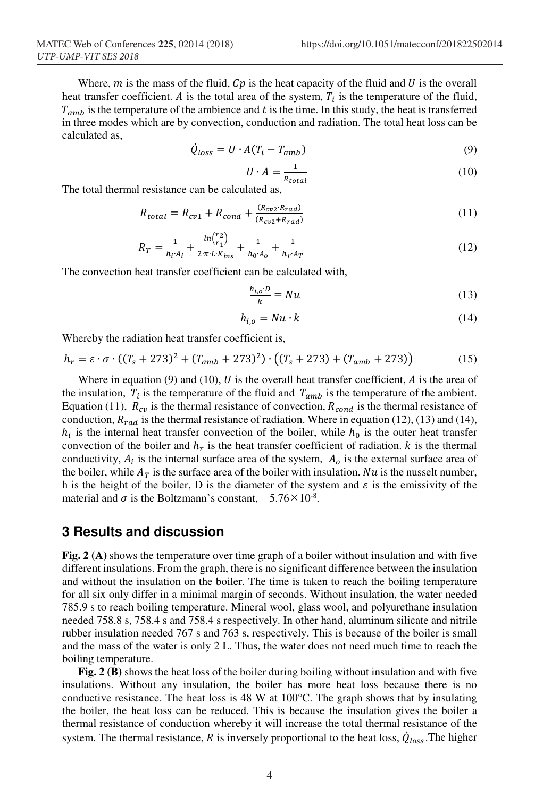Where,  $m$  is the mass of the fluid,  $Cp$  is the heat capacity of the fluid and  $U$  is the overall heat transfer coefficient. A is the total area of the system,  $T_i$  is the temperature of the fluid,  $T_{amb}$  is the temperature of the ambience and t is the time. In this study, the heat is transferred in three modes which are by convection, conduction and radiation. The total heat loss can be calculated as,

$$
\dot{Q}_{loss} = U \cdot A (T_i - T_{amb}) \tag{9}
$$

$$
U \cdot A = \frac{1}{R_{total}} \tag{10}
$$

The total thermal resistance can be calculated as,

$$
R_{total} = R_{cv1} + R_{cond} + \frac{(R_{cv2} \cdot R_{rad})}{(R_{cv2} + R_{rad})}
$$
\n(11)

$$
R_T = \frac{1}{h_i A_i} + \frac{ln(\frac{r_2}{r_1})}{2\pi L K_{ins}} + \frac{1}{h_0 A_0} + \frac{1}{h_r A_T}
$$
(12)

The convection heat transfer coefficient can be calculated with,

$$
\frac{h_{i,o} \cdot b}{k} = Nu \tag{13}
$$

$$
h_{i,o} = Nu \cdot k \tag{14}
$$

Whereby the radiation heat transfer coefficient is,

$$
h_r = \varepsilon \cdot \sigma \cdot ((T_s + 273)^2 + (T_{amb} + 273)^2) \cdot ((T_s + 273) + (T_{amb} + 273))
$$
 (15)

Where in equation (9) and (10),  $U$  is the overall heat transfer coefficient,  $\vec{A}$  is the area of the insulation,  $T_i$  is the temperature of the fluid and  $T_{amb}$  is the temperature of the ambient. Equation (11),  $R_{cv}$  is the thermal resistance of convection,  $R_{cond}$  is the thermal resistance of conduction,  $R_{rad}$  is the thermal resistance of radiation. Where in equation (12), (13) and (14),  $h_i$  is the internal heat transfer convection of the boiler, while  $h_0$  is the outer heat transfer convection of the boiler and  $h_r$  is the heat transfer coefficient of radiation. *k* is the thermal conductivity,  $A_i$  is the internal surface area of the system,  $A_0$  is the external surface area of the boiler, while  $A_T$  is the surface area of the boiler with insulation. Nu is the nusselt number, h is the height of the boiler, D is the diameter of the system and  $\varepsilon$  is the emissivity of the material and  $\sigma$  is the Boltzmann's constant,  $5.76\times10^{-8}$ .

#### **3 Results and discussion**

**Fig. 2 (A)** shows the temperature over time graph of a boiler without insulation and with five different insulations. From the graph, there is no significant difference between the insulation and without the insulation on the boiler. The time is taken to reach the boiling temperature for all six only differ in a minimal margin of seconds. Without insulation, the water needed 785.9 s to reach boiling temperature. Mineral wool, glass wool, and polyurethane insulation needed 758.8 s, 758.4 s and 758.4 s respectively. In other hand, aluminum silicate and nitrile rubber insulation needed 767 s and 763 s, respectively. This is because of the boiler is small and the mass of the water is only 2 L. Thus, the water does not need much time to reach the boiling temperature.

**Fig. 2 (B)** shows the heat loss of the boiler during boiling without insulation and with five insulations. Without any insulation, the boiler has more heat loss because there is no conductive resistance. The heat loss is 48 W at  $100^{\circ}$ C. The graph shows that by insulating the boiler, the heat loss can be reduced. This is because the insulation gives the boiler a thermal resistance of conduction whereby it will increase the total thermal resistance of the system. The thermal resistance,  $R$  is inversely proportional to the heat loss,  $\dot{Q}_{loss}$ . The higher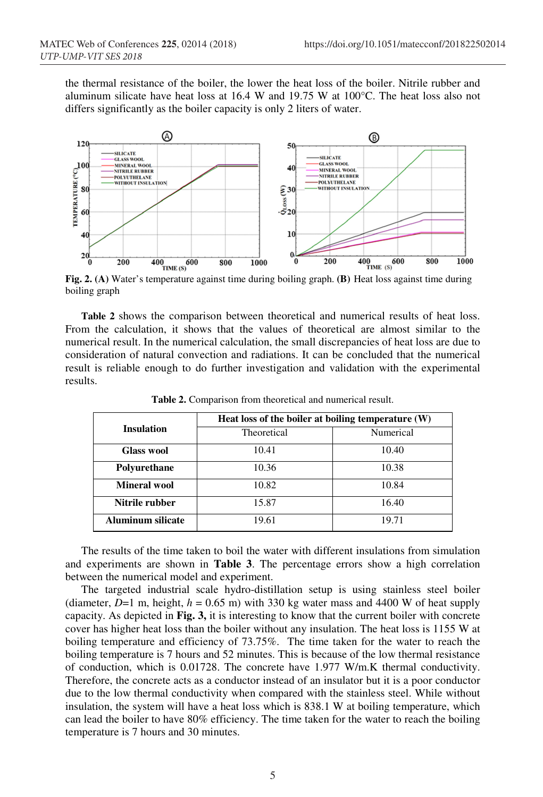the thermal resistance of the boiler, the lower the heat loss of the boiler. Nitrile rubber and aluminum silicate have heat loss at  $16.4$  W and  $19.75$  W at  $100^{\circ}$ C. The heat loss also not differs significantly as the boiler capacity is only 2 liters of water.



boiling graph

**Table 2** shows the comparison between theoretical and numerical results of heat loss. From the calculation, it shows that the values of theoretical are almost similar to the numerical result. In the numerical calculation, the small discrepancies of heat loss are due to consideration of natural convection and radiations. It can be concluded that the numerical result is reliable enough to do further investigation and validation with the experimental results.

|                          | Heat loss of the boiler at boiling temperature (W) |           |  |
|--------------------------|----------------------------------------------------|-----------|--|
| <b>Insulation</b>        | Theoretical                                        | Numerical |  |
| <b>Glass wool</b>        | 10.41                                              | 10.40     |  |
| Polyurethane             | 10.36                                              | 10.38     |  |
| <b>Mineral wool</b>      | 10.82                                              | 10.84     |  |
| Nitrile rubber           | 15.87                                              | 16.40     |  |
| <b>Aluminum silicate</b> | 19.61                                              | 19.71     |  |

**Table 2.** Comparison from theoretical and numerical result.

The results of the time taken to boil the water with different insulations from simulation and experiments are shown in **Table 3**. The percentage errors show a high correlation between the numerical model and experiment.

The targeted industrial scale hydro-distillation setup is using stainless steel boiler (diameter,  $D=1$  m, height,  $h = 0.65$  m) with 330 kg water mass and 4400 W of heat supply capacity. As depicted in **Fig. 3,** it is interesting to know that the current boiler with concrete cover has higher heat loss than the boiler without any insulation. The heat loss is 1155 W at boiling temperature and efficiency of 73.75%. The time taken for the water to reach the boiling temperature is 7 hours and 52 minutes. This is because of the low thermal resistance of conduction, which is 0.01728. The concrete have 1.977 W/m.K thermal conductivity. Therefore, the concrete acts as a conductor instead of an insulator but it is a poor conductor due to the low thermal conductivity when compared with the stainless steel. While without insulation, the system will have a heat loss which is 838.1 W at boiling temperature, which can lead the boiler to have 80% efficiency. The time taken for the water to reach the boiling temperature is 7 hours and 30 minutes.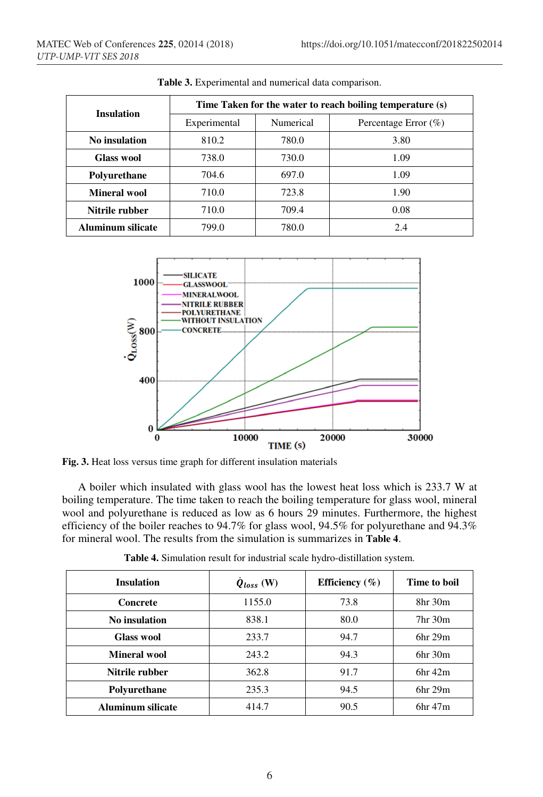| <b>Insulation</b> | Time Taken for the water to reach boiling temperature (s) |           |                      |  |
|-------------------|-----------------------------------------------------------|-----------|----------------------|--|
|                   | Experimental                                              | Numerical | Percentage Error (%) |  |
| No insulation     | 810.2                                                     | 780.0     | 3.80                 |  |
| Glass wool        | 738.0                                                     | 730.0     | 1.09                 |  |
| Polyurethane      | 704.6                                                     | 697.0     | 1.09                 |  |
| Mineral wool      | 710.0                                                     | 723.8     | 1.90                 |  |
| Nitrile rubber    | 710.0                                                     | 709.4     | 0.08                 |  |
| Aluminum silicate | 799.0                                                     | 780.0     | 2.4                  |  |

**Table 3.** Experimental and numerical data comparison.



**Fig. 3.** Heat loss versus time graph for different insulation materials

A boiler which insulated with glass wool has the lowest heat loss which is 233.7 W at boiling temperature. The time taken to reach the boiling temperature for glass wool, mineral wool and polyurethane is reduced as low as 6 hours 29 minutes. Furthermore, the highest efficiency of the boiler reaches to 94.7% for glass wool, 94.5% for polyurethane and 94.3% for mineral wool. The results from the simulation is summarizes in **Table 4**.

| Table 4. Simulation result for industrial scale hydro-distillation system. |  |
|----------------------------------------------------------------------------|--|
|                                                                            |  |

| <b>Insulation</b>        | $\dot{Q}_{loss}$ (W) | Efficiency $(\% )$ | Time to boil                    |
|--------------------------|----------------------|--------------------|---------------------------------|
| Concrete                 | 1155.0               | 73.8               | 8hr 30m                         |
| No insulation            | 838.1                | 80.0               | 7 <sub>hr</sub> 30 <sub>m</sub> |
| <b>Glass wool</b>        | 233.7                | 94.7               | 6hr 29m                         |
| Mineral wool             | 243.2                | 94.3               | 6hr30m                          |
| Nitrile rubber           | 362.8                | 91.7               | 6hr42m                          |
| Polyurethane             | 235.3                | 94.5               | 6 <sup>hr</sup> 29 <sup>m</sup> |
| <b>Aluminum silicate</b> | 414.7                | 90.5               | 6hr47m                          |